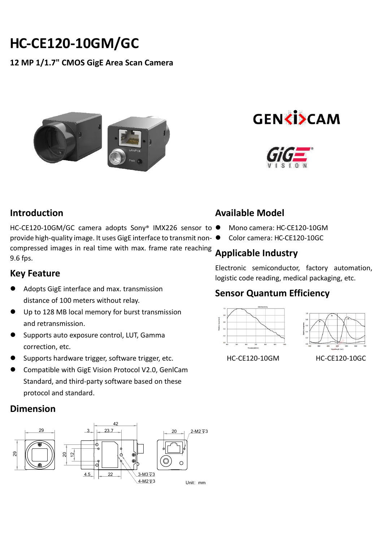# **HC-CE120-10GM/GC**

**12 MP 1/1.7" CMOS GigE Area Scan Camera**







#### **Introduction**

HC-CE120-10GM/GC camera adopts Sony® IMX226 sensor to ● provide high-quality image. It uses GigE interface to transmit noncompressed images in real time with max. frame rate reaching 9.6 fps.

#### **Key Feature**

- Adopts GigE interface and max. transmission distance of 100 meters without relay.
- Up to 128 MB local memory for burst transmission and retransmission.
- Supports auto exposure control, LUT, Gamma correction, etc.
- Supports hardware trigger, software trigger, etc.
- Compatible with GigE Vision Protocol V2.0, GenlCam Standard, and third-party software based on these protocol and standard.

## **Dimension**



# **Available Model**

- Mono camera: HC-CE120-10GM
- Color camera: HC-CE120-10GC

# **Applicable Industry**

Electronic semiconductor, factory automation, logistic code reading, medical packaging, etc.

## **Sensor Quantum Efficiency**





HC-CE120-10GM HC-CE120-10GC